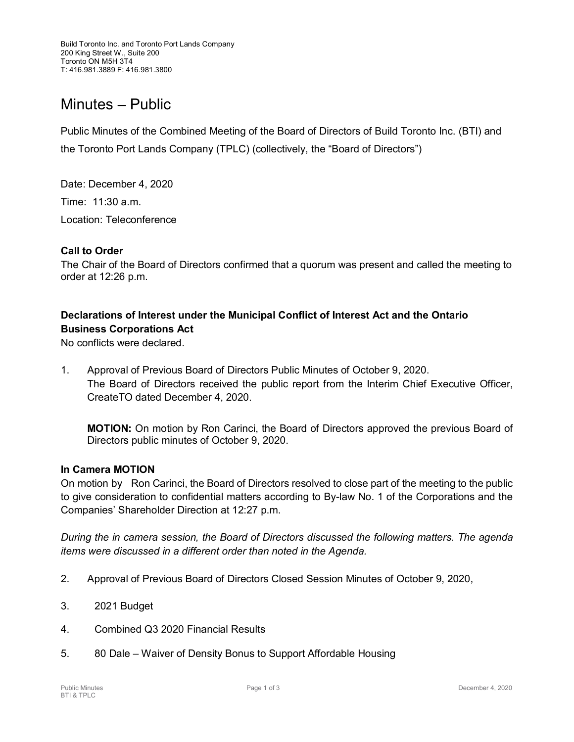# Minutes – Public

Public Minutes of the Combined Meeting of the Board of Directors of Build Toronto Inc. (BTI) and the Toronto Port Lands Company (TPLC) (collectively, the "Board of Directors")

Date: December 4, 2020 Time: 11:30 a.m. Location: Teleconference

### **Call to Order**

The Chair of the Board of Directors confirmed that a quorum was present and called the meeting to order at 12:26 p.m.

## **Declarations of Interest under the Municipal Conflict of Interest Act and the Ontario Business Corporations Act**

No conflicts were declared.

1. Approval of Previous Board of Directors Public Minutes of October 9, 2020. The Board of Directors received the public report from the Interim Chief Executive Officer, CreateTO dated December 4, 2020.

**MOTION:** On motion by Ron Carinci, the Board of Directors approved the previous Board of Directors public minutes of October 9, 2020.

#### **In Camera MOTION**

On motion by Ron Carinci, the Board of Directors resolved to close part of the meeting to the public to give consideration to confidential matters according to By-law No. 1 of the Corporations and the Companies' Shareholder Direction at 12:27 p.m.

*During the in camera session, the Board of Directors discussed the following matters. The agenda items were discussed in a different order than noted in the Agenda.*

- 2. Approval of Previous Board of Directors Closed Session Minutes of October 9, 2020,
- 3. 2021 Budget
- 4. Combined Q3 2020 Financial Results
- 5. 80 Dale Waiver of Density Bonus to Support Affordable Housing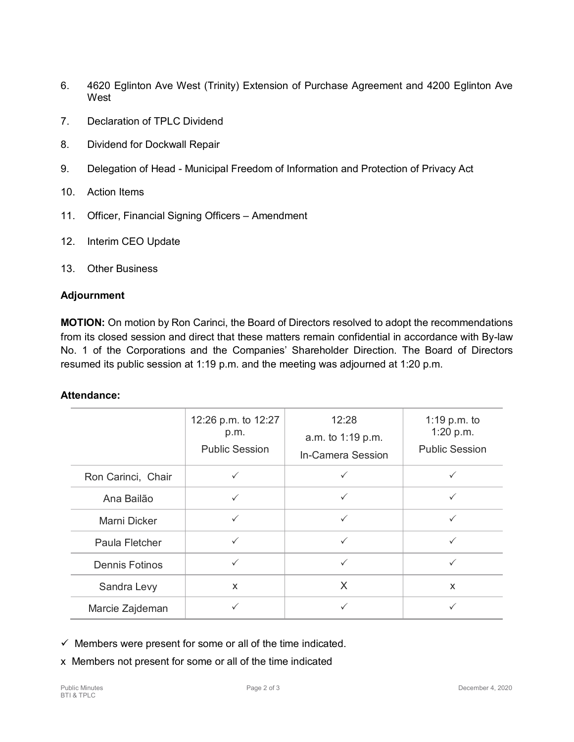- 6. 4620 Eglinton Ave West (Trinity) Extension of Purchase Agreement and 4200 Eglinton Ave **West**
- 7. Declaration of TPLC Dividend
- 8. Dividend for Dockwall Repair
- 9. Delegation of Head Municipal Freedom of Information and Protection of Privacy Act
- 10. Action Items
- 11. Officer, Financial Signing Officers Amendment
- 12. Interim CEO Update
- 13. Other Business

#### **Adjournment**

**MOTION:** On motion by Ron Carinci, the Board of Directors resolved to adopt the recommendations from its closed session and direct that these matters remain confidential in accordance with By-law No. 1 of the Corporations and the Companies' Shareholder Direction. The Board of Directors resumed its public session at 1:19 p.m. and the meeting was adjourned at 1:20 p.m.

#### **Attendance:**

|                       | 12:26 p.m. to 12:27<br>p.m.<br><b>Public Session</b> | 12:28<br>a.m. to 1:19 p.m.<br>In-Camera Session | 1:19 p.m. to<br>1:20 p.m.<br><b>Public Session</b> |
|-----------------------|------------------------------------------------------|-------------------------------------------------|----------------------------------------------------|
| Ron Carinci, Chair    | $\checkmark$                                         |                                                 |                                                    |
| Ana Bailão            | $\checkmark$                                         |                                                 |                                                    |
| Marni Dicker          | $\checkmark$                                         | $\checkmark$                                    | $\checkmark$                                       |
| Paula Fletcher        | $\checkmark$                                         |                                                 | $\checkmark$                                       |
| <b>Dennis Fotinos</b> | $\checkmark$                                         | ✓                                               | $\checkmark$                                       |
| Sandra Levy           | $\mathsf{x}$                                         | X                                               | X                                                  |
| Marcie Zajdeman       |                                                      |                                                 |                                                    |

 $\checkmark$  Members were present for some or all of the time indicated.

x Members not present for some or all of the time indicated